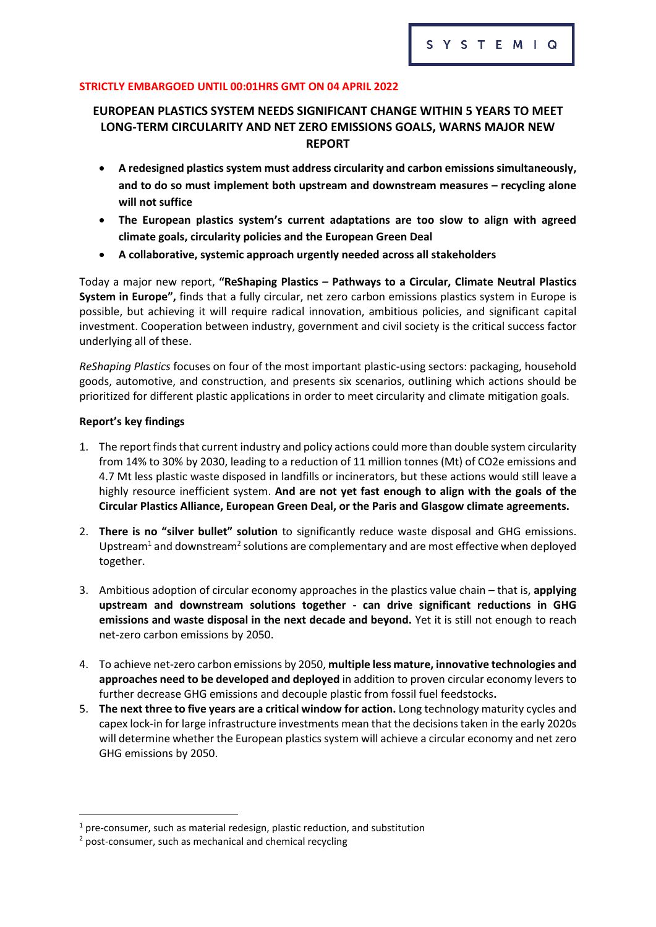### **STRICTLY EMBARGOED UNTIL 00:01HRS GMT ON 04 APRIL 2022**

# **EUROPEAN PLASTICS SYSTEM NEEDS SIGNIFICANT CHANGE WITHIN 5 YEARS TO MEET LONG-TERM CIRCULARITY AND NET ZERO EMISSIONS GOALS, WARNS MAJOR NEW REPORT**

- **A redesigned plastics system must address circularity and carbon emissions simultaneously, and to do so must implement both upstream and downstream measures – recycling alone will not suffice**
- **The European plastics system's current adaptations are too slow to align with agreed climate goals, circularity policies and the European Green Deal**
- **A collaborative, systemic approach urgently needed across all stakeholders**

Today a major new report, **"ReShaping Plastics – Pathways to a Circular, Climate Neutral Plastics System in Europe",** finds that a fully circular, net zero carbon emissions plastics system in Europe is possible, but achieving it will require radical innovation, ambitious policies, and significant capital investment. Cooperation between industry, government and civil society is the critical success factor underlying all of these.

*ReShaping Plastics* focuses on four of the most important plastic-using sectors: packaging, household goods, automotive, and construction, and presents six scenarios, outlining which actions should be prioritized for different plastic applications in order to meet circularity and climate mitigation goals.

### **Report's key findings**

- 1. The report finds that current industry and policy actions could more than double system circularity from 14% to 30% by 2030, leading to a reduction of 11 million tonnes (Mt) of CO2e emissions and 4.7 Mt less plastic waste disposed in landfills or incinerators, but these actions would still leave a highly resource inefficient system. **And are not yet fast enough to align with the goals of the Circular Plastics Alliance, European Green Deal, or the Paris and Glasgow climate agreements.**
- 2. **There is no "silver bullet" solution** to significantly reduce waste disposal and GHG emissions. Upstream<sup>1</sup> and downstream<sup>2</sup> solutions are complementary and are most effective when deployed together.
- 3. Ambitious adoption of circular economy approaches in the plastics value chain that is, **applying upstream and downstream solutions together - can drive significant reductions in GHG emissions and waste disposal in the next decade and beyond.** Yet it is still not enough to reach net-zero carbon emissions by 2050.
- 4. To achieve net-zero carbon emissions by 2050, **multiple less mature, innovative technologies and approaches need to be developed and deployed** in addition to proven circular economy levers to further decrease GHG emissions and decouple plastic from fossil fuel feedstocks**.**
- 5. **The next three to five years are a critical window for action.** Long technology maturity cycles and capex lock-in for large infrastructure investments mean that the decisions taken in the early 2020s will determine whether the European plastics system will achieve a circular economy and net zero GHG emissions by 2050.

 $1$  pre-consumer, such as material redesign, plastic reduction, and substitution

<sup>2</sup> post-consumer, such as mechanical and chemical recycling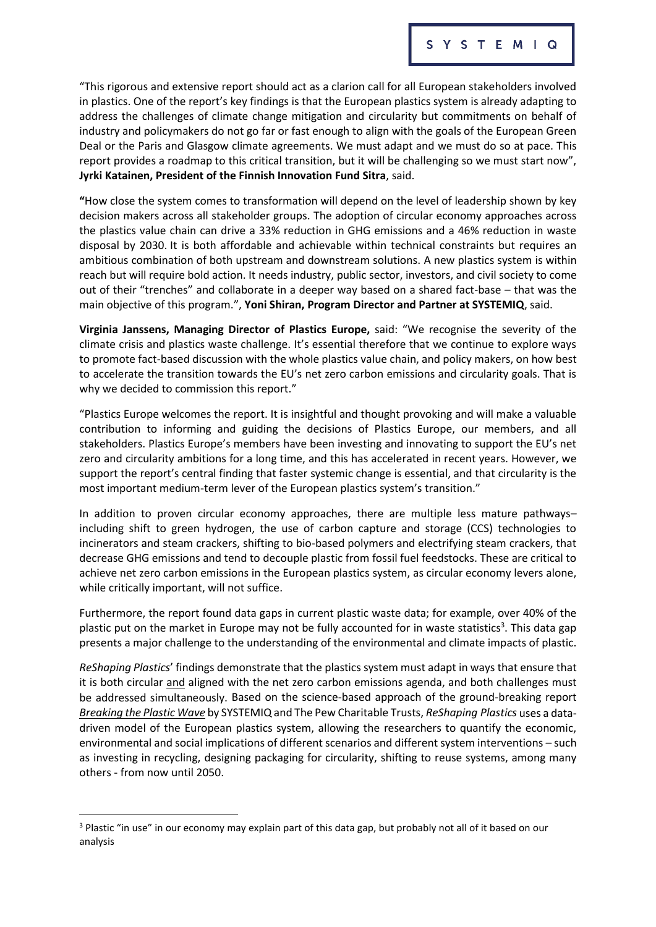"This rigorous and extensive report should act as a clarion call for all European stakeholders involved in plastics. One of the report's key findings is that the European plastics system is already adapting to address the challenges of climate change mitigation and circularity but commitments on behalf of industry and policymakers do not go far or fast enough to align with the goals of the European Green Deal or the Paris and Glasgow climate agreements. We must adapt and we must do so at pace. This report provides a roadmap to this critical transition, but it will be challenging so we must start now", **Jyrki Katainen, President of the Finnish Innovation Fund Sitra**, said.

**"**How close the system comes to transformation will depend on the level of leadership shown by key decision makers across all stakeholder groups. The adoption of circular economy approaches across the plastics value chain can drive a 33% reduction in GHG emissions and a 46% reduction in waste disposal by 2030. It is both affordable and achievable within technical constraints but requires an ambitious combination of both upstream and downstream solutions. A new plastics system is within reach but will require bold action. It needs industry, public sector, investors, and civil society to come out of their "trenches" and collaborate in a deeper way based on a shared fact-base – that was the main objective of this program.", **Yoni Shiran, Program Director and Partner at SYSTEMIQ**, said.

**Virginia Janssens, Managing Director of Plastics Europe,** said: "We recognise the severity of the climate crisis and plastics waste challenge. It's essential therefore that we continue to explore ways to promote fact-based discussion with the whole plastics value chain, and policy makers, on how best to accelerate the transition towards the EU's net zero carbon emissions and circularity goals. That is why we decided to commission this report."

"Plastics Europe welcomes the report. It is insightful and thought provoking and will make a valuable contribution to informing and guiding the decisions of Plastics Europe, our members, and all stakeholders. Plastics Europe's members have been investing and innovating to support the EU's net zero and circularity ambitions for a long time, and this has accelerated in recent years. However, we support the report's central finding that faster systemic change is essential, and that circularity is the most important medium-term lever of the European plastics system's transition."

In addition to proven circular economy approaches, there are multiple less mature pathways– including shift to green hydrogen, the use of carbon capture and storage (CCS) technologies to incinerators and steam crackers, shifting to bio-based polymers and electrifying steam crackers, that decrease GHG emissions and tend to decouple plastic from fossil fuel feedstocks. These are critical to achieve net zero carbon emissions in the European plastics system, as circular economy levers alone, while critically important, will not suffice.

Furthermore, the report found data gaps in current plastic waste data; for example, over 40% of the plastic put on the market in Europe may not be fully accounted for in waste statistics<sup>3</sup>. This data gap presents a major challenge to the understanding of the environmental and climate impacts of plastic.

*ReShaping Plastics*' findings demonstrate that the plastics system must adapt in ways that ensure that it is both circular and aligned with the net zero carbon emissions agenda, and both challenges must be addressed simultaneously. Based on the science-based approach of the ground-breaking report *[Breaking the Plastic Wave](https://www.systemiq.earth/breakingtheplasticwave/)* by SYSTEMIQand The Pew Charitable Trusts, *ReShaping Plastics* uses a datadriven model of the European plastics system, allowing the researchers to quantify the economic, environmental and social implications of different scenarios and different system interventions – such as investing in recycling, designing packaging for circularity, shifting to reuse systems, among many others - from now until 2050.

<sup>3</sup> Plastic "in use" in our economy may explain part of this data gap, but probably not all of it based on our analysis